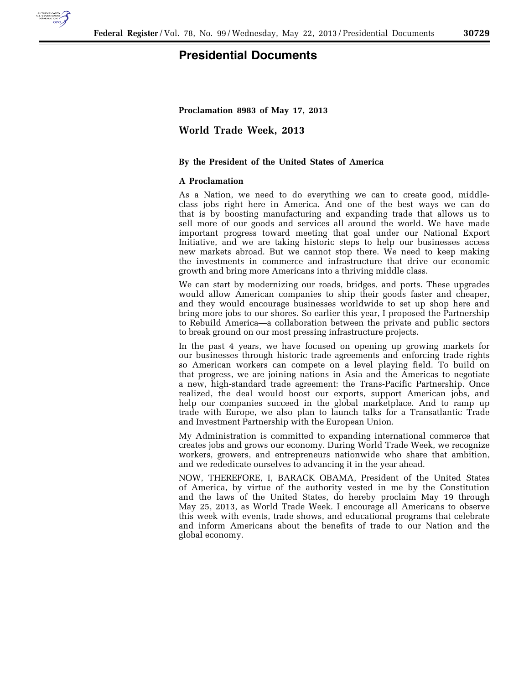

## **Presidential Documents**

**Proclamation 8983 of May 17, 2013** 

**World Trade Week, 2013** 

## **By the President of the United States of America**

## **A Proclamation**

As a Nation, we need to do everything we can to create good, middleclass jobs right here in America. And one of the best ways we can do that is by boosting manufacturing and expanding trade that allows us to sell more of our goods and services all around the world. We have made important progress toward meeting that goal under our National Export Initiative, and we are taking historic steps to help our businesses access new markets abroad. But we cannot stop there. We need to keep making the investments in commerce and infrastructure that drive our economic growth and bring more Americans into a thriving middle class.

We can start by modernizing our roads, bridges, and ports. These upgrades would allow American companies to ship their goods faster and cheaper, and they would encourage businesses worldwide to set up shop here and bring more jobs to our shores. So earlier this year, I proposed the Partnership to Rebuild America—a collaboration between the private and public sectors to break ground on our most pressing infrastructure projects.

In the past 4 years, we have focused on opening up growing markets for our businesses through historic trade agreements and enforcing trade rights so American workers can compete on a level playing field. To build on that progress, we are joining nations in Asia and the Americas to negotiate a new, high-standard trade agreement: the Trans-Pacific Partnership. Once realized, the deal would boost our exports, support American jobs, and help our companies succeed in the global marketplace. And to ramp up trade with Europe, we also plan to launch talks for a Transatlantic Trade and Investment Partnership with the European Union.

My Administration is committed to expanding international commerce that creates jobs and grows our economy. During World Trade Week, we recognize workers, growers, and entrepreneurs nationwide who share that ambition, and we rededicate ourselves to advancing it in the year ahead.

NOW, THEREFORE, I, BARACK OBAMA, President of the United States of America, by virtue of the authority vested in me by the Constitution and the laws of the United States, do hereby proclaim May 19 through May 25, 2013, as World Trade Week. I encourage all Americans to observe this week with events, trade shows, and educational programs that celebrate and inform Americans about the benefits of trade to our Nation and the global economy.